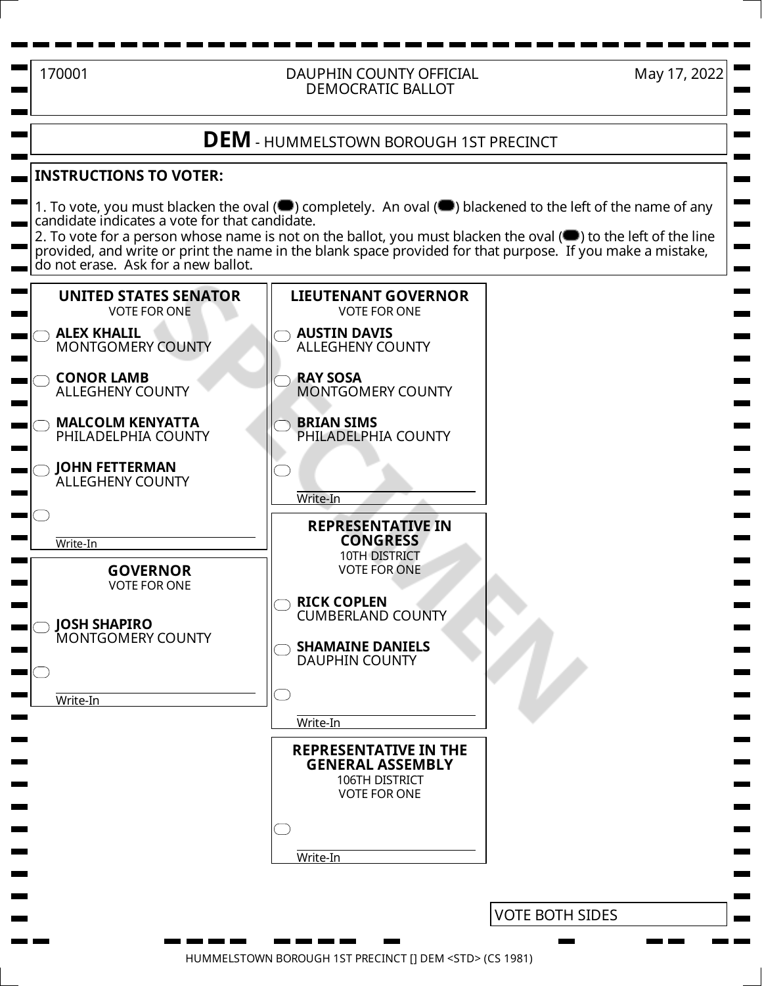## 170001 DAUPHIN COUNTY OFFICIAL DEMOCRATIC BALLOT

May 17, 2022

## **DEM** - HUMMELSTOWN BOROUGH 1ST PRECINCT

## **INSTRUCTIONS TO VOTER:**

1. To vote, you must blacken the oval ( $\bullet$ ) completely. An oval ( $\bullet$ ) blackened to the left of the name of any candidate indicates a vote for that candidate.

2. To vote for a person whose name is not on the ballot, you must blacken the oval  $($ **)** to the left of the line provided, and write or print the name in the blank space provided for that purpose. If you make a mistake, do not erase. Ask for a new ballot.



VOTE BOTH SIDES